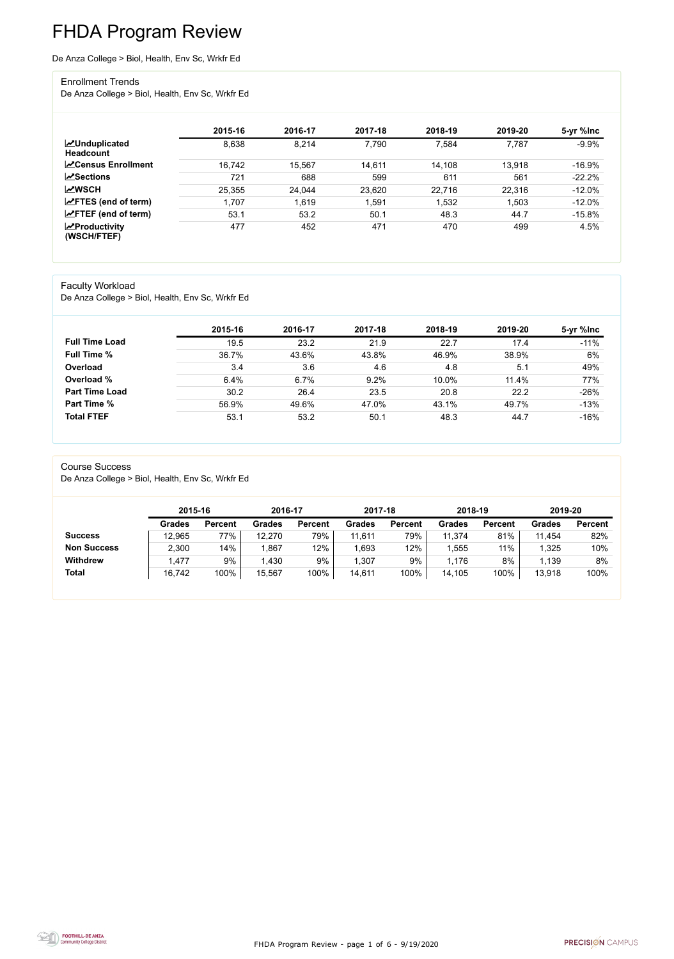FHDA Program Review - page 1 of 6 - 9/19/2020



# FHDA Program Review

De Anza College > Biol, Health, Env Sc, Wrkfr Ed

#### Enrollment Trends

De Anza College > Biol, Health, Env Sc, Wrkfr Ed

|                                          | 2015-16 | 2016-17 | 2017-18 | 2018-19 | 2019-20 | 5-yr %lnc |
|------------------------------------------|---------|---------|---------|---------|---------|-----------|
| <b>MUnduplicated</b><br><b>Headcount</b> | 8,638   | 8,214   | 7,790   | 7,584   | 7,787   | $-9.9%$   |
| <b>N</b> Census Enrollment               | 16,742  | 15,567  | 14,611  | 14,108  | 13,918  | $-16.9\%$ |
| <b>ZSections</b>                         | 721     | 688     | 599     | 611     | 561     | $-22.2%$  |
| <b>MWSCH</b>                             | 25,355  | 24,044  | 23,620  | 22,716  | 22,316  | $-12.0%$  |
| $\angle$ FTES (end of term)              | 1,707   | 1,619   | 1,591   | 1,532   | 1,503   | $-12.0%$  |
| $\angle$ FTEF (end of term)              | 53.1    | 53.2    | 50.1    | 48.3    | 44.7    | $-15.8%$  |
| $\chi$ Productivity<br>(WSCH/FTEF)       | 477     | 452     | 471     | 470     | 499     | 4.5%      |

#### Faculty Workload

De Anza College > Biol, Health, Env Sc, Wrkfr Ed

|                       | 2015-16 | 2016-17 | 2017-18 | 2018-19 | 2019-20 | 5-yr %lnc |
|-----------------------|---------|---------|---------|---------|---------|-----------|
| <b>Full Time Load</b> | 19.5    | 23.2    | 21.9    | 22.7    | 17.4    | $-11%$    |
| <b>Full Time %</b>    | 36.7%   | 43.6%   | 43.8%   | 46.9%   | 38.9%   | 6%        |
| Overload              | 3.4     | 3.6     | 4.6     | 4.8     | 5.1     | 49%       |
| Overload %            | 6.4%    | 6.7%    | 9.2%    | 10.0%   | 11.4%   | 77%       |
| <b>Part Time Load</b> | 30.2    | 26.4    | 23.5    | 20.8    | 22.2    | $-26%$    |
| <b>Part Time %</b>    | 56.9%   | 49.6%   | 47.0%   | 43.1%   | 49.7%   | $-13%$    |
| <b>Total FTEF</b>     | 53.1    | 53.2    | 50.1    | 48.3    | 44.7    | $-16%$    |

#### Course Success

De Anza College > Biol, Health, Env Sc, Wrkfr Ed

|                    |               | 2015-16        |               | 2016-17        | 2017-18       |                | 2018-19       |                | 2019-20       |                |
|--------------------|---------------|----------------|---------------|----------------|---------------|----------------|---------------|----------------|---------------|----------------|
|                    | <b>Grades</b> | <b>Percent</b> | <b>Grades</b> | <b>Percent</b> | <b>Grades</b> | <b>Percent</b> | <b>Grades</b> | <b>Percent</b> | <b>Grades</b> | <b>Percent</b> |
| <b>Success</b>     | 12,965        | 77%            | 12,270        | 79%            | 11,611        | 79%            | 11,374        | 81%            | 11,454        | 82%            |
| <b>Non Success</b> | 2,300         | 14%            | ,867          | 12%            | 1,693         | 12%            | ,555          | 11%            | 1,325         | 10%            |
| <b>Withdrew</b>    | ,477          | 9%             | 1,430         | 9%             | 1,307         | 9%             | 1,176         | 8%             | 1,139         | 8%             |
| <b>Total</b>       | 16,742        | 100%           | 15,567        | 100%           | 14,611        | 100%           | 14,105        | 100%           | 13,918        | 100%           |

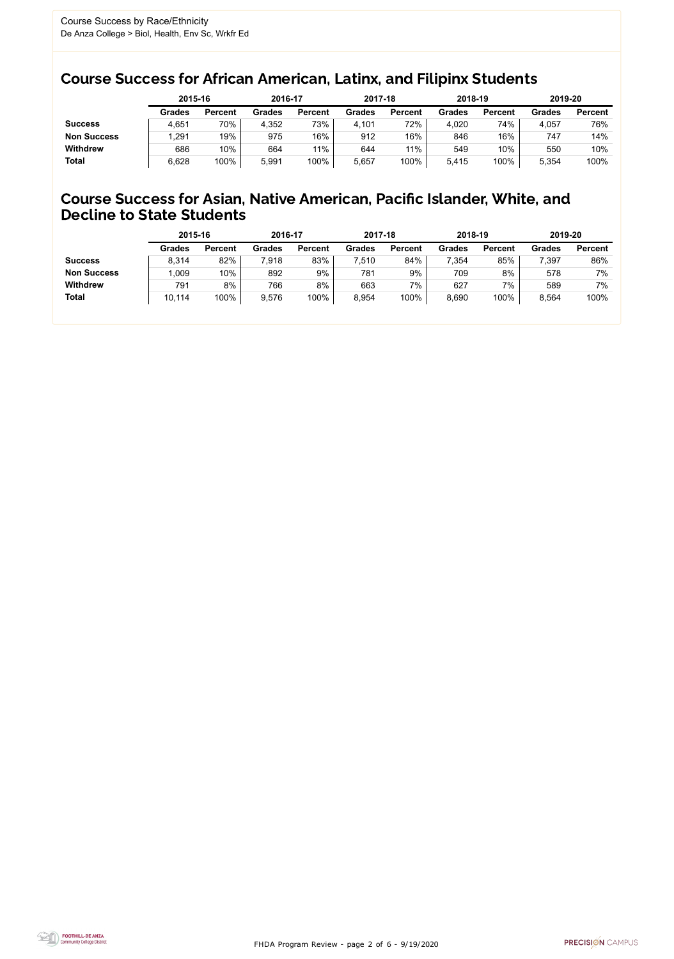FHDA Program Review - page 2 of 6 - 9/19/2020



### Course Success for African American, Latinx, and Filipinx Students

### Course Success for Asian, Native American, Pacific Islander, White, and Decline to State Students

|                    |               | 2015-16        |               | 2016-17        |               | 2017-18        | 2018-19       |                | 2019-20       |                |
|--------------------|---------------|----------------|---------------|----------------|---------------|----------------|---------------|----------------|---------------|----------------|
|                    | <b>Grades</b> | <b>Percent</b> | <b>Grades</b> | <b>Percent</b> | <b>Grades</b> | <b>Percent</b> | <b>Grades</b> | <b>Percent</b> | <b>Grades</b> | <b>Percent</b> |
| <b>Success</b>     | 4,651         | 70%            | 4,352         | 73%            | 4,101         | 72%            | 4,020         | 74%            | 4,057         | 76%            |
| <b>Non Success</b> | .291          | 19%            | 975           | 16%            | 912           | 16%            | 846           | 16%            | 747           | 14%            |
| <b>Withdrew</b>    | 686           | 10%            | 664           | 11%            | 644           | 11%            | 549           | 10%            | 550           | 10%            |
| <b>Total</b>       | 6,628         | 100%           | 5,991         | 100%           | 5,657         | 100%           | 5,415         | 100%           | 5,354         | 100%           |

|                    | 2015-16       |                | 2016-17       |                | 2017-18       |                | 2018-19       |                | 2019-20 |                |
|--------------------|---------------|----------------|---------------|----------------|---------------|----------------|---------------|----------------|---------|----------------|
|                    | <b>Grades</b> | <b>Percent</b> | <b>Grades</b> | <b>Percent</b> | <b>Grades</b> | <b>Percent</b> | <b>Grades</b> | <b>Percent</b> | Grades  | <b>Percent</b> |
| <b>Success</b>     | 8,314         | 82%            | 7,918         | 83%            | 7,510         | 84%            | 7,354         | 85%            | 7,397   | 86%            |
| <b>Non Success</b> | 1,009         | 10%            | 892           | 9%             | 781           | 9%             | 709           | 8%             | 578     | 7%             |
| <b>Withdrew</b>    | 791           | 8%             | 766           | 8%             | 663           | $7\%$          | 627           | 7%             | 589     | 7%             |
| <b>Total</b>       | 10,114        | 100%           | 9,576         | 100%           | 8,954         | 100%           | 8,690         | 100%           | 8,564   | 100%           |
|                    |               |                |               |                |               |                |               |                |         |                |

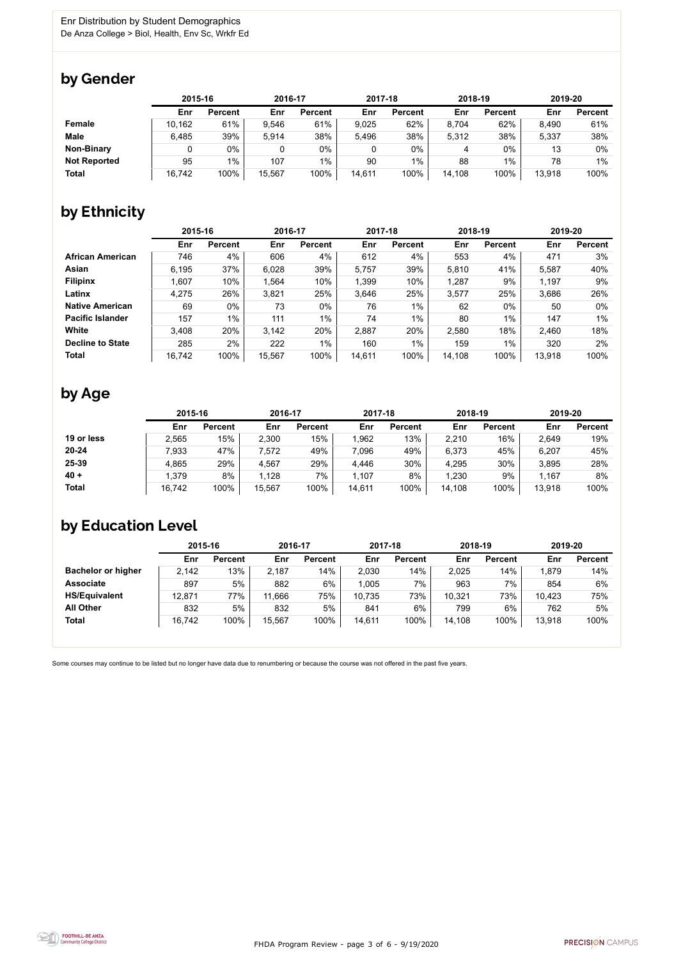FHDA Program Review - page 3 of 6 - 9/19/2020



Some courses may continue to be listed but no longer have data due to renumbering or because the course was not offered in the past five years.



### by Gender

|                     |        | 2015-16        |        | 2016-17        |        | 2017-18        |        | 2018-19        |        | 2019-20        |  |
|---------------------|--------|----------------|--------|----------------|--------|----------------|--------|----------------|--------|----------------|--|
|                     | Enr    | <b>Percent</b> | Enr    | <b>Percent</b> | Enr    | <b>Percent</b> | Enr    | <b>Percent</b> | Enr    | <b>Percent</b> |  |
| <b>Female</b>       | 10,162 | 61%            | 9,546  | 61%            | 9,025  | 62%            | 8,704  | 62%            | 8,490  | 61%            |  |
| <b>Male</b>         | 6,485  | 39%            | 5,914  | 38%            | 5,496  | 38%            | 5,312  | 38%            | 5,337  | 38%            |  |
| <b>Non-Binary</b>   |        | 0%             |        | 0%             | 0      | 0%             | 4      | 0%             | 13     | 0%             |  |
| <b>Not Reported</b> | 95     | 1%             | 107    | $1\%$          | 90     | $1\%$          | 88     | 1%             | 78     | 1%             |  |
| <b>Total</b>        | 16,742 | 100%           | 15,567 | 100%           | 14,611 | 100%           | 14,108 | 100%           | 13,918 | 100%           |  |

## by Ethnicity

|                         |        | 2015-16        |        | 2016-17        |        | 2017-18        | 2018-19 |                | 2019-20 |                |
|-------------------------|--------|----------------|--------|----------------|--------|----------------|---------|----------------|---------|----------------|
|                         | Enr    | <b>Percent</b> | Enr    | <b>Percent</b> | Enr    | <b>Percent</b> | Enr     | <b>Percent</b> | Enr     | <b>Percent</b> |
| <b>African American</b> | 746    | 4%             | 606    | 4%             | 612    | 4%             | 553     | 4%             | 471     | 3%             |
| Asian                   | 6,195  | 37%            | 6,028  | 39%            | 5,757  | 39%            | 5,810   | 41%            | 5,587   | 40%            |
| <b>Filipinx</b>         | 1,607  | 10%            | 1,564  | 10%            | 1,399  | 10%            | ,287    | 9%             | 1,197   | 9%             |
| Latinx                  | 4,275  | 26%            | 3,821  | 25%            | 3,646  | 25%            | 3,577   | 25%            | 3,686   | 26%            |
| <b>Native American</b>  | 69     | $0\%$          | 73     | 0%             | 76     | $1\%$          | 62      | $0\%$          | 50      | 0%             |
| <b>Pacific Islander</b> | 157    | $1\%$          | 111    | $1\%$          | 74     | $1\%$          | 80      | $1\%$          | 147     | $1\%$          |
| White                   | 3,408  | 20%            | 3,142  | 20%            | 2,887  | 20%            | 2,580   | 18%            | 2,460   | 18%            |
| <b>Decline to State</b> | 285    | 2%             | 222    | $1\%$          | 160    | $1\%$          | 159     | $1\%$          | 320     | 2%             |
| <b>Total</b>            | 16,742 | 100%           | 15,567 | 100%           | 14,611 | 100%           | 14,108  | 100%           | 13,918  | 100%           |

## by Age

|              | 2015-16 |                | 2016-17 |                | 2017-18 |                | 2018-19 |                | 2019-20 |                |
|--------------|---------|----------------|---------|----------------|---------|----------------|---------|----------------|---------|----------------|
|              | Enr     | <b>Percent</b> | Enr     | <b>Percent</b> | Enr     | <b>Percent</b> | Enr     | <b>Percent</b> | Enr     | <b>Percent</b> |
| 19 or less   | 2,565   | 15%            | 2,300   | 15%            | 1,962   | 13%            | 2,210   | 16%            | 2,649   | 19%            |
| $20 - 24$    | 7,933   | 47%            | 7,572   | 49%            | 7,096   | 49%            | 6,373   | 45%            | 6,207   | 45%            |
| 25-39        | 4,865   | 29%            | 4,567   | 29%            | 4,446   | 30%            | 4,295   | 30%            | 3,895   | 28%            |
| $40 +$       | 1,379   | 8%             | 1,128   | 7%             | 1,107   | 8%             | ,230    | 9%             | 1,167   | 8%             |
| <b>Total</b> | 16,742  | 100%           | 15,567  | 100%           | 14,611  | 100%           | 14,108  | 100%           | 13,918  | 100%           |

### by Education Level

|                           | 2015-16 |                | 2016-17 |                | 2017-18 |                | 2018-19 |                | 2019-20 |                |
|---------------------------|---------|----------------|---------|----------------|---------|----------------|---------|----------------|---------|----------------|
|                           | Enr     | <b>Percent</b> | Enr     | <b>Percent</b> | Enr     | <b>Percent</b> | Enr     | <b>Percent</b> | Enr     | <b>Percent</b> |
| <b>Bachelor or higher</b> | 2,142   | 13%            | 2,187   | 14%            | 2,030   | 14%            | 2,025   | 14%            | 1,879   | 14%            |
| <b>Associate</b>          | 897     | 5%             | 882     | 6%             | 1,005   | 7%             | 963     | 7%             | 854     | 6%             |
| <b>HS/Equivalent</b>      | 12,871  | $77\%$         | 11,666  | 75%            | 10,735  | 73%            | 10,321  | 73%            | 10,423  | 75%            |
| <b>All Other</b>          | 832     | 5%             | 832     | 5%             | 841     | 6%             | 799     | 6%             | 762     | 5%             |
| <b>Total</b>              | 16,742  | 100%           | 15,567  | 100%           | 14,611  | 100%           | 14,108  | 100%           | 13,918  | 100%           |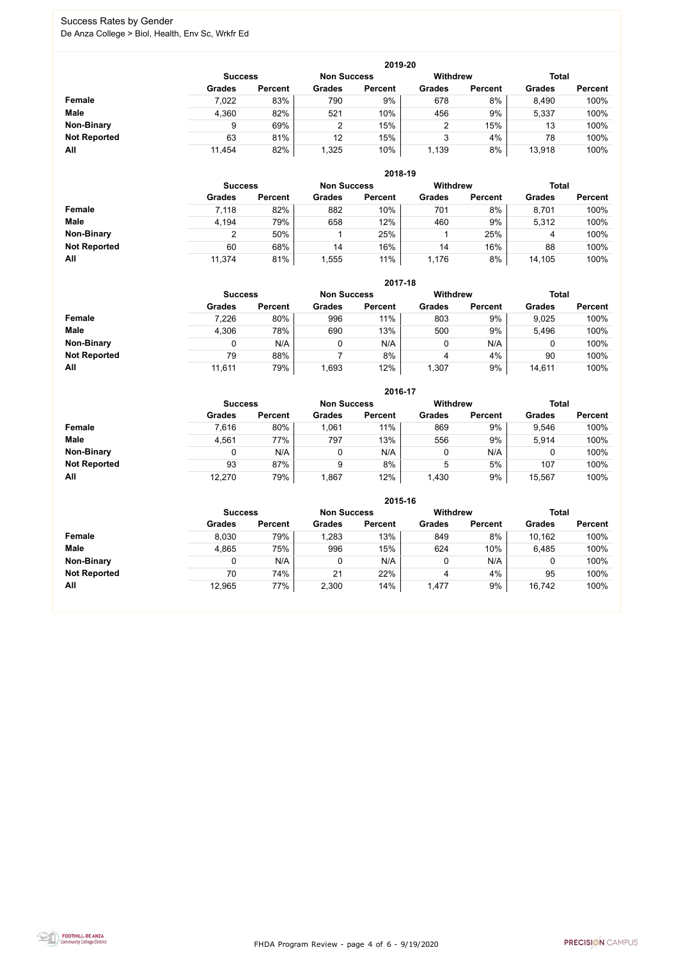FHDA Program Review - page 4 of 6 - 9/19/2020



### Success Rates by Gender De Anza College > Biol, Health, Env Sc, Wrkfr Ed

|                     | 2019-20        |                |                    |                |                 |                |               |                |  |  |  |  |  |
|---------------------|----------------|----------------|--------------------|----------------|-----------------|----------------|---------------|----------------|--|--|--|--|--|
|                     | <b>Success</b> |                | <b>Non Success</b> |                | <b>Withdrew</b> |                | <b>Total</b>  |                |  |  |  |  |  |
|                     | <b>Grades</b>  | <b>Percent</b> | <b>Grades</b>      | <b>Percent</b> | <b>Grades</b>   | <b>Percent</b> | <b>Grades</b> | <b>Percent</b> |  |  |  |  |  |
| <b>Female</b>       | 7,022          | 83%            | 790                | 9%             | 678             | 8%             | 8,490         | 100%           |  |  |  |  |  |
| <b>Male</b>         | 4,360          | 82%            | 521                | 10%            | 456             | 9%             | 5,337         | 100%           |  |  |  |  |  |
| <b>Non-Binary</b>   | 9              | 69%            | 2                  | 15%            | 2               | 15%            | 13            | 100%           |  |  |  |  |  |
| <b>Not Reported</b> | 63             | 81%            | 12                 | 15%            | 3               | 4%             | 78            | 100%           |  |  |  |  |  |
| All                 | 11,454         | 82%            | 1,325              | 10%            | 1,139           | 8%             | 13,918        | 100%           |  |  |  |  |  |

|                     |                | 2018-19        |                    |                |                 |                |               |                |  |  |  |  |  |  |
|---------------------|----------------|----------------|--------------------|----------------|-----------------|----------------|---------------|----------------|--|--|--|--|--|--|
|                     | <b>Success</b> |                | <b>Non Success</b> |                | <b>Withdrew</b> |                | <b>Total</b>  |                |  |  |  |  |  |  |
|                     | <b>Grades</b>  | <b>Percent</b> | <b>Grades</b>      | <b>Percent</b> | <b>Grades</b>   | <b>Percent</b> | <b>Grades</b> | <b>Percent</b> |  |  |  |  |  |  |
| Female              | 7,118          | 82%            | 882                | 10%            | 701             | 8%             | 8,701         | 100%           |  |  |  |  |  |  |
| <b>Male</b>         | 4,194          | 79%            | 658                | 12%            | 460             | 9%             | 5,312         | 100%           |  |  |  |  |  |  |
| <b>Non-Binary</b>   | ◠              | 50%            |                    | 25%            |                 | 25%            | 4             | 100%           |  |  |  |  |  |  |
| <b>Not Reported</b> | 60             | 68%            | 14                 | 16%            | 14              | 16%            | 88            | 100%           |  |  |  |  |  |  |
| All                 | 11,374         | 81%            | 1,555              | 11%            | 1,176           | 8%             | 14,105        | 100%           |  |  |  |  |  |  |

|                     |                | 2017-18        |                    |                 |               |                |               |                |  |  |  |  |  |  |
|---------------------|----------------|----------------|--------------------|-----------------|---------------|----------------|---------------|----------------|--|--|--|--|--|--|
|                     | <b>Success</b> |                | <b>Non Success</b> | <b>Withdrew</b> |               | <b>Total</b>   |               |                |  |  |  |  |  |  |
|                     | <b>Grades</b>  | <b>Percent</b> | <b>Grades</b>      | <b>Percent</b>  | <b>Grades</b> | <b>Percent</b> | <b>Grades</b> | <b>Percent</b> |  |  |  |  |  |  |
| Female              | 7,226          | 80%            | 996                | 11%             | 803           | 9%             | 9,025         | 100%           |  |  |  |  |  |  |
| <b>Male</b>         | 4,306          | 78%            | 690                | 13%             | 500           | 9%             | 5,496         | 100%           |  |  |  |  |  |  |
| <b>Non-Binary</b>   | 0              | N/A            | 0                  | N/A             | 0             | N/A            | 0             | 100%           |  |  |  |  |  |  |
| <b>Not Reported</b> | 79             | 88%            |                    | 8%              | 4             | 4%             | 90            | 100%           |  |  |  |  |  |  |
| All                 | 11,611         | 79%            | 1,693              | 12%             | 1,307         | 9%             | 14,611        | 100%           |  |  |  |  |  |  |

|                     |                | 2016-17            |               |                 |               |                |               |                |  |  |
|---------------------|----------------|--------------------|---------------|-----------------|---------------|----------------|---------------|----------------|--|--|
|                     | <b>Success</b> | <b>Non Success</b> |               | <b>Withdrew</b> |               | <b>Total</b>   |               |                |  |  |
|                     | <b>Grades</b>  | <b>Percent</b>     | <b>Grades</b> | <b>Percent</b>  | <b>Grades</b> | <b>Percent</b> | <b>Grades</b> | <b>Percent</b> |  |  |
| Female              | 7,616          | 80%                | 1,061         | 11%             | 869           | 9%             | 9,546         | 100%           |  |  |
| <b>Male</b>         | 4,561          | 77%                | 797           | 13%             | 556           | 9%             | 5,914         | 100%           |  |  |
| <b>Non-Binary</b>   | 0              | N/A                |               | N/A             | 0             | N/A            |               | 100%           |  |  |
| <b>Not Reported</b> | 93             | 87%                | 9             | 8%              | 5             | 5%             | 107           | 100%           |  |  |
| All                 | 12,270         | 79%                | ,867          | 12%             | 1,430         | 9%             | 15,567        | 100%           |  |  |

|                     |                                      | 2015-16        |               |                 |               |                |               |                |  |  |
|---------------------|--------------------------------------|----------------|---------------|-----------------|---------------|----------------|---------------|----------------|--|--|
|                     | <b>Non Success</b><br><b>Success</b> |                |               | <b>Withdrew</b> |               | <b>Total</b>   |               |                |  |  |
|                     | <b>Grades</b>                        | <b>Percent</b> | <b>Grades</b> | <b>Percent</b>  | <b>Grades</b> | <b>Percent</b> | <b>Grades</b> | <b>Percent</b> |  |  |
| Female              | 8,030                                | 79%            | 1,283         | 13%             | 849           | 8%             | 10,162        | 100%           |  |  |
| <b>Male</b>         | 4,865                                | 75%            | 996           | 15%             | 624           | 10%            | 6,485         | 100%           |  |  |
| <b>Non-Binary</b>   |                                      | N/A            | 0             | N/A             |               | N/A            | 0             | 100%           |  |  |
| <b>Not Reported</b> | 70                                   | 74%            | 21            | 22%             | 4             | 4%             | 95            | 100%           |  |  |
| All                 | 12,965                               | 77%            | 2,300         | 14%             | 1,477         | 9%             | 16,742        | 100%           |  |  |

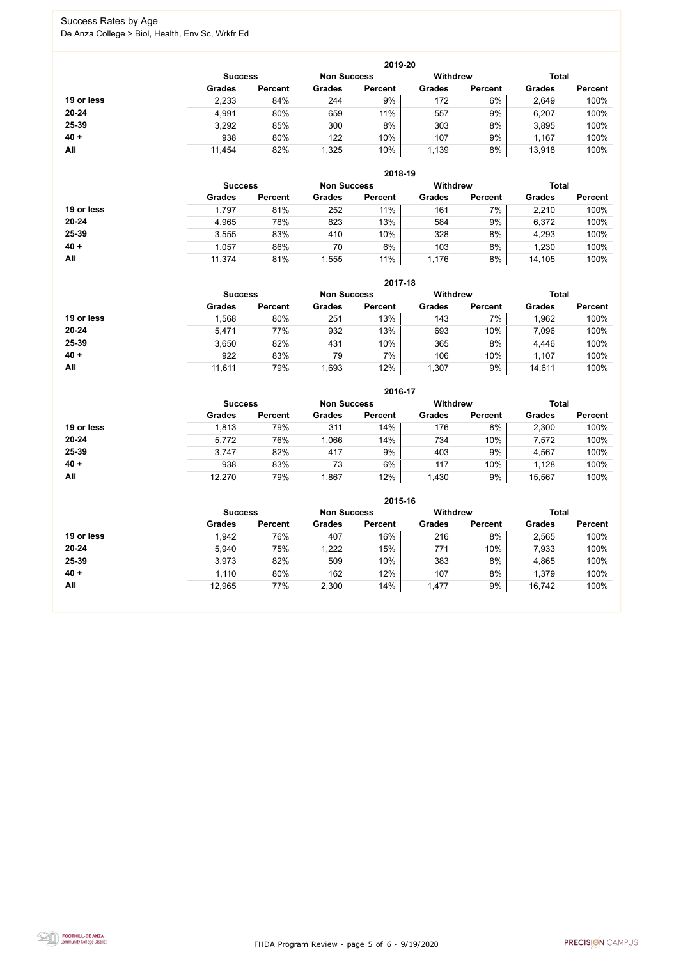FHDA Program Review - page 5 of 6 - 9/19/2020



### Success Rates by Age De Anza College > Biol, Health, Env Sc, Wrkfr Ed

|            | 2019-20        |                    |               |                 |               |                |               |                |  |  |
|------------|----------------|--------------------|---------------|-----------------|---------------|----------------|---------------|----------------|--|--|
|            | <b>Success</b> | <b>Non Success</b> |               | <b>Withdrew</b> |               | <b>Total</b>   |               |                |  |  |
|            | <b>Grades</b>  | <b>Percent</b>     | <b>Grades</b> | <b>Percent</b>  | <b>Grades</b> | <b>Percent</b> | <b>Grades</b> | <b>Percent</b> |  |  |
| 19 or less | 2,233          | 84%                | 244           | 9%              | 172           | 6%             | 2,649         | 100%           |  |  |
| $20 - 24$  | 4,991          | 80%                | 659           | 11%             | 557           | 9%             | 6,207         | 100%           |  |  |
| 25-39      | 3,292          | 85%                | 300           | 8%              | 303           | 8%             | 3,895         | 100%           |  |  |
| $40 +$     | 938            | 80%                | 122           | 10%             | 107           | 9%             | 1,167         | 100%           |  |  |
| All        | 11,454         | 82%                | 1,325         | 10%             | 1,139         | 8%             | 13,918        | 100%           |  |  |

|            |                |                    |               | 2018-19         |               |                |               |                |
|------------|----------------|--------------------|---------------|-----------------|---------------|----------------|---------------|----------------|
|            | <b>Success</b> | <b>Non Success</b> |               | <b>Withdrew</b> |               | <b>Total</b>   |               |                |
|            | <b>Grades</b>  | <b>Percent</b>     | <b>Grades</b> | <b>Percent</b>  | <b>Grades</b> | <b>Percent</b> | <b>Grades</b> | <b>Percent</b> |
| 19 or less | ,797           | 81%                | 252           | 11%             | 161           | 7%             | 2,210         | 100%           |
| $20 - 24$  | 4,965          | 78%                | 823           | 13%             | 584           | 9%             | 6,372         | 100%           |
| 25-39      | 3,555          | 83%                | 410           | 10%             | 328           | 8%             | 4,293         | 100%           |
| $40 +$     | 1,057          | 86%                | 70            | 6%              | 103           | 8%             | 1,230         | 100%           |
| All        | 11,374         | 81%                | ,555          | 11%             | 1,176         | 8%             | 14,105        | 100%           |

|            | 2017-18                              |                |               |                |                 |                |               |                |  |  |
|------------|--------------------------------------|----------------|---------------|----------------|-----------------|----------------|---------------|----------------|--|--|
|            | <b>Non Success</b><br><b>Success</b> |                |               |                | <b>Withdrew</b> |                | <b>Total</b>  |                |  |  |
|            | <b>Grades</b>                        | <b>Percent</b> | <b>Grades</b> | <b>Percent</b> | <b>Grades</b>   | <b>Percent</b> | <b>Grades</b> | <b>Percent</b> |  |  |
| 19 or less | ,568                                 | 80%            | 251           | 13%            | 143             | 7%             | ,962          | 100%           |  |  |
| $20 - 24$  | 5,471                                | 77%            | 932           | 13%            | 693             | 10%            | 7,096         | 100%           |  |  |
| 25-39      | 3,650                                | 82%            | 431           | 10%            | 365             | 8%             | 4,446         | 100%           |  |  |
| $40 +$     | 922                                  | 83%            | 79            | 7%             | 106             | 10%            | 1,107         | 100%           |  |  |
| All        | 11,611                               | 79%            | 1,693         | 12%            | 1,307           | 9%             | 14,611        | 100%           |  |  |

|            |                |                    |               | 2016-17         |               |                |               |                |
|------------|----------------|--------------------|---------------|-----------------|---------------|----------------|---------------|----------------|
|            | <b>Success</b> | <b>Non Success</b> |               | <b>Withdrew</b> |               |                | <b>Total</b>  |                |
|            | <b>Grades</b>  | <b>Percent</b>     | <b>Grades</b> | <b>Percent</b>  | <b>Grades</b> | <b>Percent</b> | <b>Grades</b> | <b>Percent</b> |
| 19 or less | 1,813          | 79%                | 311           | 14%             | 176           | 8%             | 2,300         | 100%           |
| 20-24      | 5,772          | 76%                | 1,066         | 14%             | 734           | 10%            | 7,572         | 100%           |
| 25-39      | 3,747          | 82%                | 417           | 9%              | 403           | 9%             | 4,567         | 100%           |
| $40 +$     | 938            | 83%                | 73            | 6%              | 117           | 10%            | 1,128         | 100%           |
| All        | 12,270         | 79%                | 867, ا        | 12%             | 1,430         | 9%             | 15,567        | 100%           |

|            |                                      |                |               | 2015-16        |                 |                |               |                |
|------------|--------------------------------------|----------------|---------------|----------------|-----------------|----------------|---------------|----------------|
|            | <b>Non Success</b><br><b>Success</b> |                |               |                | <b>Withdrew</b> |                | <b>Total</b>  |                |
|            | <b>Grades</b>                        | <b>Percent</b> | <b>Grades</b> | <b>Percent</b> | <b>Grades</b>   | <b>Percent</b> | <b>Grades</b> | <b>Percent</b> |
| 19 or less | 1,942                                | 76%            | 407           | 16%            | 216             | 8%             | 2,565         | 100%           |
| $20 - 24$  | 5,940                                | 75%            | 1,222         | 15%            | 771             | 10%            | 7,933         | 100%           |
| 25-39      | 3,973                                | 82%            | 509           | 10%            | 383             | 8%             | 4,865         | 100%           |
| $40 +$     | 1,110                                | 80%            | 162           | 12%            | 107             | 8%             | 1,379         | 100%           |
| All        | 12,965                               | 77%            | 2,300         | 14%            | 1,477           | 9%             | 16,742        | 100%           |